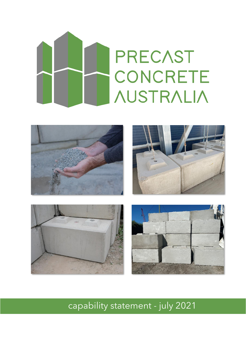# **PRECAST CONCRETE AUSTRALIA**



capability statement - july 2021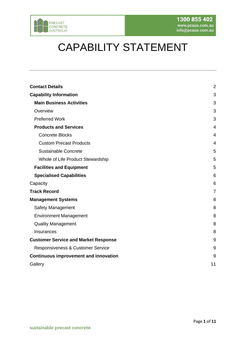

# CAPABILITY STATEMENT

| <b>Contact Details</b>                       | $\overline{2}$ |
|----------------------------------------------|----------------|
| <b>Capability Information</b>                | 3              |
| <b>Main Business Activities</b>              | 3              |
| Overview                                     | 3              |
| <b>Preferred Work</b>                        | 3              |
| <b>Products and Services</b>                 | 4              |
| <b>Concrete Blocks</b>                       | 4              |
| <b>Custom Precast Products</b>               | 4              |
| Sustainable Concrete                         | 5              |
| Whole of Life Product Stewardship            | 5              |
| <b>Facilities and Equipment</b>              | 5              |
| <b>Specialised Capabilities</b>              | 6              |
| Capacity                                     | 6              |
| <b>Track Record</b>                          | $\overline{7}$ |
| <b>Management Systems</b>                    | 8              |
| Safety Management                            | 8              |
| <b>Environment Management</b>                | 8              |
| <b>Quality Management</b>                    | 8              |
| Insurances                                   | 8              |
| <b>Customer Service and Market Response</b>  | 9              |
| Responsiveness & Customer Service            | 9              |
| <b>Continuous improvement and innovation</b> | 9              |
| Gallery                                      | 11             |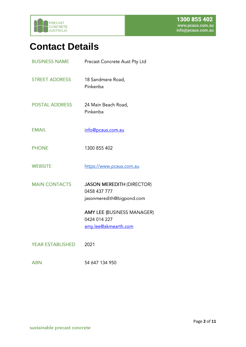

# <span id="page-2-0"></span>**Contact Details**

| <b>BUSINESS NAME</b>    | Precast Concrete Aust Pty Ltd                                                 |  |
|-------------------------|-------------------------------------------------------------------------------|--|
| <b>STREET ADDRESS</b>   | 18 Sandmere Road,<br>Pinkenba                                                 |  |
| <b>POSTAL ADDRESS</b>   | 24 Main Beach Road,<br>Pinkenba                                               |  |
| <b>EMAIL</b>            | info@pcaus.com.au                                                             |  |
| <b>PHONE</b>            | 1300 855 402                                                                  |  |
| <b>WEBSITE</b>          | https://www.pcaus.com.au                                                      |  |
| <b>MAIN CONTACTS</b>    | <b>JASON MEREDITH (DIRECTOR)</b><br>0458 437 777<br>jasonmeredith@bigpond.com |  |
|                         | <b>AMY LEE (BUSINESS MANAGER)</b><br>0424 014 227<br>amy.lee@akmearth.com     |  |
| <b>YEAR ESTABLISHED</b> | 2021                                                                          |  |

54 647 134 950 **ABN**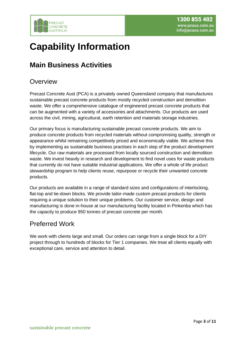

# <span id="page-3-0"></span>**Capability Information**

# <span id="page-3-1"></span>**Main Business Activities**

### <span id="page-3-2"></span>**Overview**

Precast Concrete Aust (PCA) is a privately owned Queensland company that manufactures sustainable precast concrete products from mostly recycled construction and demolition waste. We offer a comprehensive catalogue of engineered precast concrete products that can be augmented with a variety of accessories and attachments. Our products are used across the civil, mining, agricultural, earth retention and materials storage industries.

Our primary focus is manufacturing sustainable precast concrete products. We aim to produce concrete products from recycled materials without compromising quality, strength or appearance whilst remaining competitively priced and economically viable. We achieve this by implementing as sustainable business practises in each step of the product development lifecycle. Our raw materials are processed from locally sourced construction and demolition waste. We invest heavily in research and development to find novel uses for waste products that currently do not have suitable industrial applications. We offer a whole of life product stewardship program to help clients reuse, repurpose or recycle their unwanted concrete products.

Our products are available in a range of standard sizes and configurations of interlocking, flat-top and tie-down blocks. We provide tailor-made custom precast products for clients requiring a unique solution to their unique problems. Our customer service, design and manufacturing is done in-house at our manufacturing facility located in Pinkenba which has the capacity to produce 950 tonnes of precast concrete per month.

### <span id="page-3-3"></span>Preferred Work

We work with clients large and small. Our orders can range from a single block for a DIY project through to hundreds of blocks for Tier 1 companies. We treat all clients equally with exceptional care, service and attention to detail.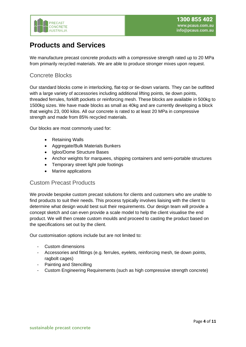

### <span id="page-4-0"></span>**Products and Services**

We manufacture precast concrete products with a compressive strength rated up to 20 MPa from primarily recycled materials. We are able to produce stronger mixes upon request.

#### <span id="page-4-1"></span>Concrete Blocks

Our standard blocks come in interlocking, flat-top or tie-down variants. They can be outfitted with a large variety of accessories including additional lifting points, tie down points, threaded ferrules, forklift pockets or reinforcing mesh. These blocks are available in 500kg to 1500kg sizes. We have made blocks as small as 40kg and are currently developing a block that weighs 23, 000 kilos. All our concrete is rated to at least 20 MPa in compressive strength and made from 85% recycled materials.

Our blocks are most commonly used for:

- **Retaining Walls**
- Aggregate/Bulk Materials Bunkers
- Igloo/Dome Structure Bases
- Anchor weights for marquees, shipping containers and semi-portable structures
- Temporary street light pole footings
- Marine applications

#### <span id="page-4-2"></span>Custom Precast Products

We provide bespoke custom precast solutions for clients and customers who are unable to find products to suit their needs. This process typically involves liaising with the client to determine what design would best suit their requirements. Our design team will provide a concept sketch and can even provide a scale model to help the client visualise the end product. We will then create custom moulds and proceed to casting the product based on the specifications set out by the client.

Our customisation options include but are not limited to:

- Custom dimensions
- Accessories and fittings (e.g. ferrules, eyelets, reinforcing mesh, tie down points, ragbolt cages)
- Painting and Stencilling
- Custom Engineering Requirements (such as high compressive strength concrete)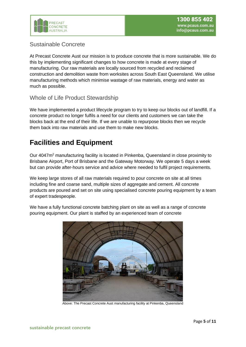

#### <span id="page-5-0"></span>Sustainable Concrete

At Precast Concrete Aust our mission is to produce concrete that is more sustainable. We do this by implementing significant changes to how concrete is made at every stage of manufacturing. Our raw materials are locally sourced from recycled and reclaimed construction and demolition waste from worksites across South East Queensland. We utilise manufacturing methods which minimise wastage of raw materials, energy and water as much as possible.

#### <span id="page-5-1"></span>Whole of Life Product Stewardship

We have implemented a product lifecycle program to try to keep our blocks out of landfill. If a concrete product no longer fulfils a need for our clients and customers we can take the blocks back at the end of their life. If we are unable to repurpose blocks then we recycle them back into raw materials and use them to make new blocks.

# <span id="page-5-2"></span>**Facilities and Equipment**

Our 4047m<sup>2</sup> manufacturing facility is located in Pinkenba, Queensland in close proximity to Brisbane Airport, Port of Brisbane and the Gateway Motorway. We operate 5 days a week but can provide after-hours service and advice where needed to fulfil project requirements.

We keep large stores of all raw materials required to pour concrete on site at all times including fine and coarse sand, multiple sizes of aggregate and cement. All concrete products are poured and set on site using specialised concrete pouring equipment by a team of expert tradespeople.



We have a fully functional concrete batching plant on site as well as a range of concrete pouring equipment. Our plant is staffed by an experienced team of concrete

Above: The Precast Concrete Aust manufacturing facility at Pinkenba, Queensland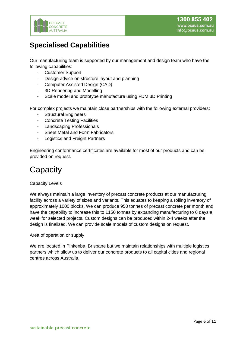

# <span id="page-6-0"></span>**Specialised Capabilities**

Our manufacturing team is supported by our management and design team who have the following capabilities:

- Customer Support
- Design advice on structure layout and planning
- Computer Assisted Design (CAD)
- 3D Rendering and Modelling
- Scale model and prototype manufacture using FDM 3D Printing

For complex projects we maintain close partnerships with the following external providers:

- Structural Engineers
- Concrete Testing Facilities
- Landscaping Professionals
- Sheet Metal and Form Fabricators
- Logistics and Freight Partners

Engineering conformance certificates are available for most of our products and can be provided on request.

# <span id="page-6-1"></span>**Capacity**

#### Capacity Levels

We always maintain a large inventory of precast concrete products at our manufacturing facility across a variety of sizes and variants. This equates to keeping a rolling inventory of approximately 1000 blocks. We can produce 950 tonnes of precast concrete per month and have the capability to increase this to 1150 tonnes by expanding manufacturing to 6 days a week for selected projects. Custom designs can be produced within 2-4 weeks after the design is finalised. We can provide scale models of custom designs on request.

#### Area of operation or supply

We are located in Pinkenba, Brisbane but we maintain relationships with multiple logistics partners which allow us to deliver our concrete products to all capital cities and regional centres across Australia.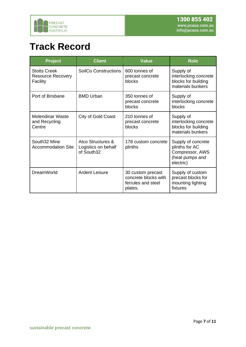

# <span id="page-7-0"></span>**Track Record**

| Project                                                     | <b>Client</b>                                          | <b>Value</b>                                                               | <b>Role</b>                                                                             |
|-------------------------------------------------------------|--------------------------------------------------------|----------------------------------------------------------------------------|-----------------------------------------------------------------------------------------|
| <b>Stotts Creek</b><br><b>Resource Recovery</b><br>Facility | <b>SoilCo Constructions</b>                            | 600 tonnes of<br>precast concrete<br>blocks                                | Supply of<br>interlocking concrete<br>blocks for building<br>materials bunkers          |
| Port of Brisbane                                            | <b>BMD Urban</b>                                       | 350 tonnes of<br>precast concrete<br>blocks                                | Supply of<br>interlocking concrete<br>blocks                                            |
| <b>Molendinar Waste</b><br>and Recycling<br>Centre          | City of Gold Coast                                     | 210 tonnes of<br>precast concrete<br>blocks                                | Supply of<br>interlocking concrete<br>blocks for building<br>materials bunkers          |
| South32 Mine<br><b>Accommodation Site</b>                   | Atco Structures &<br>Logistics on behalf<br>of South32 | 178 custom concrete<br>plinths                                             | Supply of concrete<br>plinths for AC<br>Compressor, AWS<br>(heat pumps and<br>electric) |
| <b>DreamWorld</b>                                           | <b>Ardent Leisure</b>                                  | 30 custom precast<br>concrete blocks with<br>ferrules and steel<br>plates. | Supply of custom<br>precast blocks for<br>mounting lighting<br>fixtures                 |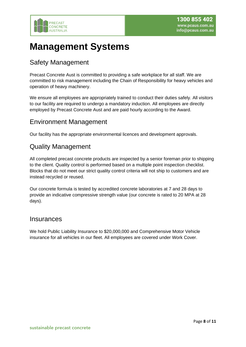

# <span id="page-8-0"></span>**Management Systems**

### <span id="page-8-1"></span>Safety Management

Precast Concrete Aust is committed to providing a safe workplace for all staff. We are committed to risk management including the Chain of Responsibility for heavy vehicles and operation of heavy machinery.

We ensure all employees are appropriately trained to conduct their duties safely. All visitors to our facility are required to undergo a mandatory induction. All employees are directly employed by Precast Concrete Aust and are paid hourly according to the Award.

### <span id="page-8-2"></span>Environment Management

Our facility has the appropriate environmental licences and development approvals.

### <span id="page-8-3"></span>Quality Management

All completed precast concrete products are inspected by a senior foreman prior to shipping to the client. Quality control is performed based on a multiple point inspection checklist. Blocks that do not meet our strict quality control criteria will not ship to customers and are instead recycled or reused.

Our concrete formula is tested by accredited concrete laboratories at 7 and 28 days to provide an indicative compressive strength value (our concrete is rated to 20 MPA at 28 days).

#### <span id="page-8-4"></span>**Insurances**

We hold Public Liability Insurance to \$20,000,000 and Comprehensive Motor Vehicle insurance for all vehicles in our fleet. All employees are covered under Work Cover.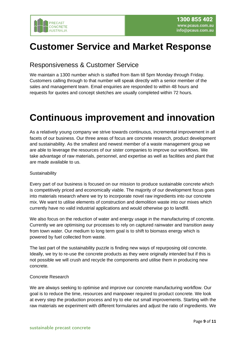

# <span id="page-9-0"></span>**Customer Service and Market Response**

### <span id="page-9-1"></span>Responsiveness & Customer Service

We maintain a 1300 number which is staffed from 8am till 5pm Monday through Friday. Customers calling through to that number will speak directly with a senior member of the sales and management team. Email enquiries are responded to within 48 hours and requests for quotes and concept sketches are usually completed within 72 hours.

# <span id="page-9-2"></span>**Continuous improvement and innovation**

As a relatively young company we strive towards continuous, incremental improvement in all facets of our business. Our three areas of focus are concrete research, product development and sustainability. As the smallest and newest member of a waste management group we are able to leverage the resources of our sister companies to improve our workflows. We take advantage of raw materials, personnel, and expertise as well as facilities and plant that are made available to us.

#### **Sustainability**

Every part of our business is focused on our mission to produce sustainable concrete which is competitively priced and economically viable. The majority of our development focus goes into materials research where we try to incorporate novel raw ingredients into our concrete mix. We want to utilise elements of construction and demolition waste into our mixes which currently have no valid industrial applications and would otherwise go to landfill.

We also focus on the reduction of water and energy usage in the manufacturing of concrete. Currently we are optimising our processes to rely on captured rainwater and transition away from town water. Our medium to long term goal is to shift to biomass energy which is powered by fuel collected from waste.

The last part of the sustainability puzzle is finding new ways of repurposing old concrete. Ideally, we try to re-use the concrete products as they were originally intended but if this is not possible we will crush and recycle the components and utilise them in producing new concrete.

#### Concrete Research

We are always seeking to optimise and improve our concrete manufacturing workflow. Our goal is to reduce the time, resources and manpower required to product concrete. We look at every step the production process and try to eke out small improvements. Starting with the raw materials we experiment with different formularies and adjust the ratio of ingredients. We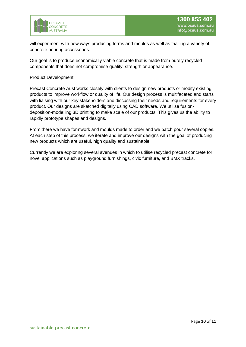

will experiment with new ways producing forms and moulds as well as trialling a variety of concrete pouring accessories.

Our goal is to produce economically viable concrete that is made from purely recycled components that does not compromise quality, strength or appearance.

#### Product Development

Precast Concrete Aust works closely with clients to design new products or modify existing products to improve workflow or quality of life. Our design process is multifaceted and starts with liaising with our key stakeholders and discussing their needs and requirements for every product. Our designs are sketched digitally using CAD software. We utilise fusiondeposition-modelling 3D printing to make scale of our products. This gives us the ability to rapidly prototype shapes and designs.

From there we have formwork and moulds made to order and we batch pour several copies. At each step of this process, we iterate and improve our designs with the goal of producing new products which are useful, high quality and sustainable.

Currently we are exploring several avenues in which to utilise recycled precast concrete for novel applications such as playground furnishings, civic furniture, and BMX tracks.